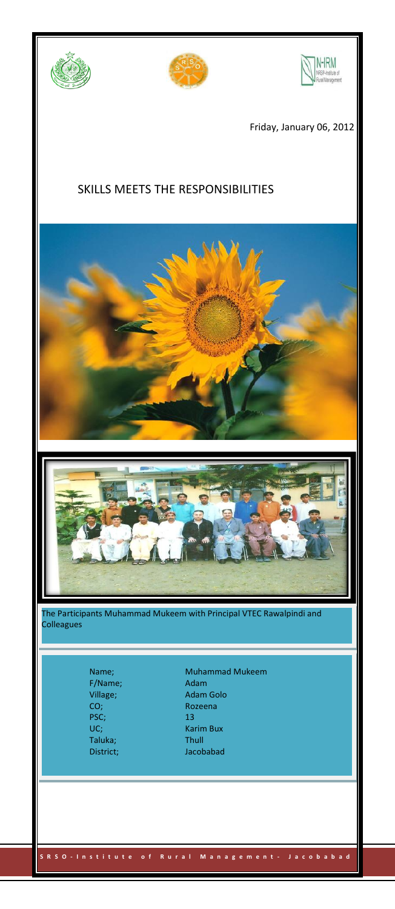





Friday, January 06, 2012

## SKILLS MEETS THE RESPONSIBILITIES





The Participants Muhammad Mukeem with Principal VTEC Rawalpindi and Colleagues

 **S R S O - I n s t i t u t e o f R u r a l M a n a g e m e n t - J a c o b a b a d** Page 1

F/Name; Adam<br>
Village; Adam PSC; 13 Taluka;<br>District;

Name; Muhammad Mukeem Village; Adam Golo<br>
CO; Rozeena Rozeena Karim Bux<br>Thull Jacobabad